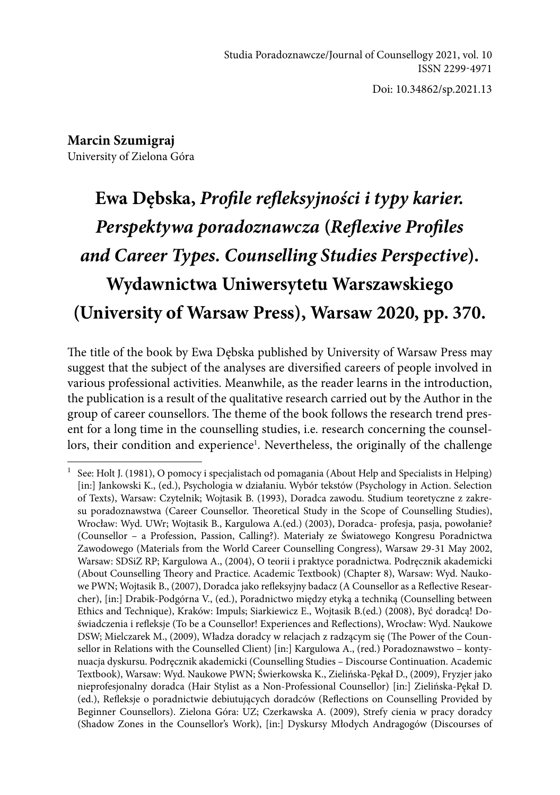Doi: 10.34862/sp.2021.13

**Marcin Szumigraj**  University of Zielona Góra

## **Ewa Dębska,** *Profile refleksyjności i typy karier. Perspektywa poradoznawcza* **(***Reflexive Profiles and Career Types. Counselling Studies Perspective***). Wydawnictwa Uniwersytetu Warszawskiego (University of Warsaw Press), Warsaw 2020, pp. 370.**

The title of the book by Ewa Dębska published by University of Warsaw Press may suggest that the subject of the analyses are diversified careers of people involved in various professional activities. Meanwhile, as the reader learns in the introduction, the publication is a result of the qualitative research carried out by the Author in the group of career counsellors. The theme of the book follows the research trend present for a long time in the counselling studies, i.e. research concerning the counsellors, their condition and experience<sup>1</sup>. Nevertheless, the originally of the challenge

See: Holt J. (1981), O pomocy i specjalistach od pomagania (About Help and Specialists in Helping) [in:] Jankowski K., (ed.), Psychologia w działaniu. Wybór tekstów (Psychology in Action. Selection of Texts), Warsaw: Czytelnik; Wojtasik B. (1993), Doradca zawodu. Studium teoretyczne z zakresu poradoznawstwa (Career Counsellor. Theoretical Study in the Scope of Counselling Studies), Wrocław: Wyd. UWr; Wojtasik B., Kargulowa A.(ed.) (2003), Doradca- profesja, pasja, powołanie? (Counsellor – a Profession, Passion, Calling?). Materiały ze Światowego Kongresu Poradnictwa Zawodowego (Materials from the World Career Counselling Congress), Warsaw 29-31 May 2002, Warsaw: SDSiZ RP; Kargulowa A., (2004), O teorii i praktyce poradnictwa. Podręcznik akademicki (About Counselling Theory and Practice. Academic Textbook) (Chapter 8), Warsaw: Wyd. Naukowe PWN; Wojtasik B., (2007), Doradca jako refleksyjny badacz (A Counsellor as a Reflective Researcher), [in:] Drabik-Podgórna V., (ed.), Poradnictwo między etyką a techniką (Counselling between Ethics and Technique), Kraków: Impuls; Siarkiewicz E., Wojtasik B.(ed.) (2008), Być doradcą! Doświadczenia i refleksje (To be a Counsellor! Experiences and Reflections), Wrocław: Wyd. Naukowe DSW; Mielczarek M., (2009), Władza doradcy w relacjach z radzącym się (The Power of the Counsellor in Relations with the Counselled Client) [in:] Kargulowa A., (red.) Poradoznawstwo – kontynuacja dyskursu. Podręcznik akademicki (Counselling Studies – Discourse Continuation. Academic Textbook), Warsaw: Wyd. Naukowe PWN; Świerkowska K., Zielińska-Pękał D., (2009), Fryzjer jako nieprofesjonalny doradca (Hair Stylist as a Non-Professional Counsellor) [in:] Zielińska-Pękał D. (ed.), Refleksje o poradnictwie debiutujących doradców (Reflections on Counselling Provided by Beginner Counsellors). Zielona Góra: UZ; Czerkawska A. (2009), Strefy cienia w pracy doradcy (Shadow Zones in the Counsellor's Work), [in:] Dyskursy Młodych Andragogów (Discourses of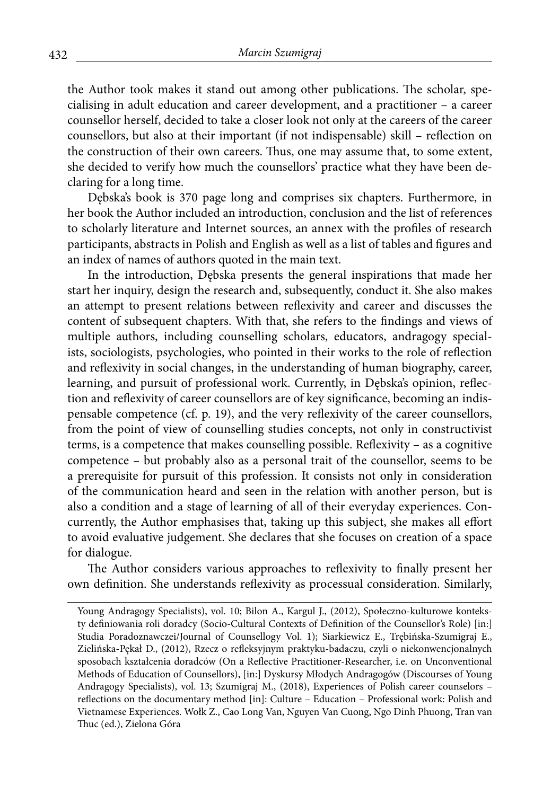the Author took makes it stand out among other publications. The scholar, specialising in adult education and career development, and a practitioner – a career counsellor herself, decided to take a closer look not only at the careers of the career counsellors, but also at their important (if not indispensable) skill – reflection on the construction of their own careers. Thus, one may assume that, to some extent, she decided to verify how much the counsellors' practice what they have been declaring for a long time.

Dębska's book is 370 page long and comprises six chapters. Furthermore, in her book the Author included an introduction, conclusion and the list of references to scholarly literature and Internet sources, an annex with the profiles of research participants, abstracts in Polish and English as well as a list of tables and figures and an index of names of authors quoted in the main text.

In the introduction, Dębska presents the general inspirations that made her start her inquiry, design the research and, subsequently, conduct it. She also makes an attempt to present relations between reflexivity and career and discusses the content of subsequent chapters. With that, she refers to the findings and views of multiple authors, including counselling scholars, educators, andragogy specialists, sociologists, psychologies, who pointed in their works to the role of reflection and reflexivity in social changes, in the understanding of human biography, career, learning, and pursuit of professional work. Currently, in Dębska's opinion, reflection and reflexivity of career counsellors are of key significance, becoming an indispensable competence (cf. p. 19), and the very reflexivity of the career counsellors, from the point of view of counselling studies concepts, not only in constructivist terms, is a competence that makes counselling possible. Reflexivity – as a cognitive competence – but probably also as a personal trait of the counsellor, seems to be a prerequisite for pursuit of this profession. It consists not only in consideration of the communication heard and seen in the relation with another person, but is also a condition and a stage of learning of all of their everyday experiences. Concurrently, the Author emphasises that, taking up this subject, she makes all effort to avoid evaluative judgement. She declares that she focuses on creation of a space for dialogue.

The Author considers various approaches to reflexivity to finally present her own definition. She understands reflexivity as processual consideration. Similarly,

Young Andragogy Specialists), vol. 10; Bilon A., Kargul J., (2012), Społeczno-kulturowe konteksty definiowania roli doradcy (Socio-Cultural Contexts of Definition of the Counsellor's Role) [in:] Studia Poradoznawczei/Journal of Counsellogy Vol. 1); Siarkiewicz E., Trębińska-Szumigraj E., Zielińska-Pękał D., (2012), Rzecz o refleksyjnym praktyku-badaczu, czyli o niekonwencjonalnych sposobach kształcenia doradców (On a Reflective Practitioner-Researcher, i.e. on Unconventional Methods of Education of Counsellors), [in:] Dyskursy Młodych Andragogów (Discourses of Young Andragogy Specialists), vol. 13; Szumigraj M., (2018), Experiences of Polish career counselors – reflections on the documentary method [in]: Culture – Education – Professional work: Polish and Vietnamese Experiences. Wołk Z., Cao Long Van, Nguyen Van Cuong, Ngo Dinh Phuong, Tran van Thuc (ed.), Zielona Góra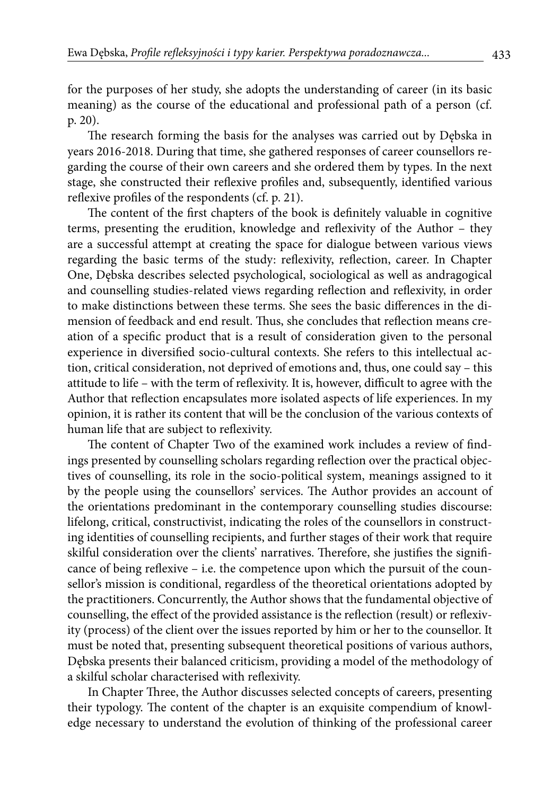for the purposes of her study, she adopts the understanding of career (in its basic meaning) as the course of the educational and professional path of a person (cf. p. 20).

The research forming the basis for the analyses was carried out by Dębska in years 2016-2018. During that time, she gathered responses of career counsellors regarding the course of their own careers and she ordered them by types. In the next stage, she constructed their reflexive profiles and, subsequently, identified various reflexive profiles of the respondents (cf. p. 21).

The content of the first chapters of the book is definitely valuable in cognitive terms, presenting the erudition, knowledge and reflexivity of the Author – they are a successful attempt at creating the space for dialogue between various views regarding the basic terms of the study: reflexivity, reflection, career. In Chapter One, Dębska describes selected psychological, sociological as well as andragogical and counselling studies-related views regarding reflection and reflexivity, in order to make distinctions between these terms. She sees the basic differences in the dimension of feedback and end result. Thus, she concludes that reflection means creation of a specific product that is a result of consideration given to the personal experience in diversified socio-cultural contexts. She refers to this intellectual action, critical consideration, not deprived of emotions and, thus, one could say – this attitude to life – with the term of reflexivity. It is, however, difficult to agree with the Author that reflection encapsulates more isolated aspects of life experiences. In my opinion, it is rather its content that will be the conclusion of the various contexts of human life that are subject to reflexivity.

The content of Chapter Two of the examined work includes a review of findings presented by counselling scholars regarding reflection over the practical objectives of counselling, its role in the socio-political system, meanings assigned to it by the people using the counsellors' services. The Author provides an account of the orientations predominant in the contemporary counselling studies discourse: lifelong, critical, constructivist, indicating the roles of the counsellors in constructing identities of counselling recipients, and further stages of their work that require skilful consideration over the clients' narratives. Therefore, she justifies the significance of being reflexive – i.e. the competence upon which the pursuit of the counsellor's mission is conditional, regardless of the theoretical orientations adopted by the practitioners. Concurrently, the Author shows that the fundamental objective of counselling, the effect of the provided assistance is the reflection (result) or reflexivity (process) of the client over the issues reported by him or her to the counsellor. It must be noted that, presenting subsequent theoretical positions of various authors, Dębska presents their balanced criticism, providing a model of the methodology of a skilful scholar characterised with reflexivity.

In Chapter Three, the Author discusses selected concepts of careers, presenting their typology. The content of the chapter is an exquisite compendium of knowledge necessary to understand the evolution of thinking of the professional career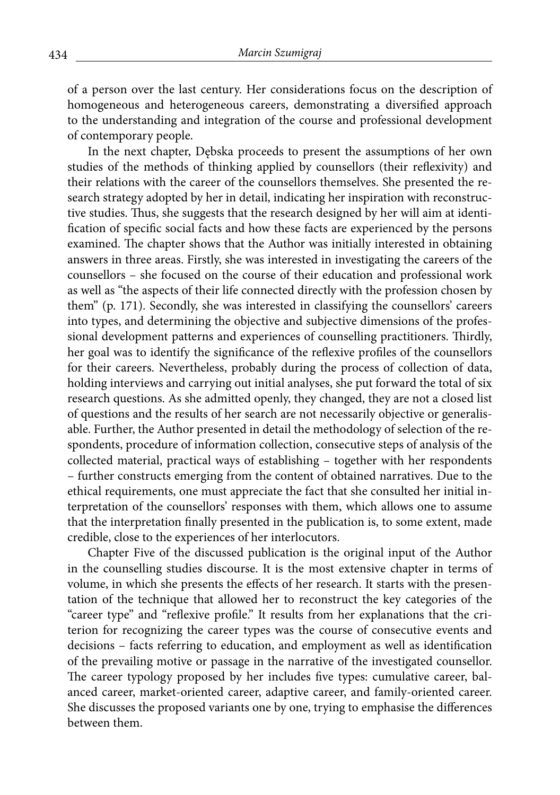of a person over the last century. Her considerations focus on the description of homogeneous and heterogeneous careers, demonstrating a diversified approach to the understanding and integration of the course and professional development of contemporary people.

In the next chapter, Dębska proceeds to present the assumptions of her own studies of the methods of thinking applied by counsellors (their reflexivity) and their relations with the career of the counsellors themselves. She presented the research strategy adopted by her in detail, indicating her inspiration with reconstructive studies. Thus, she suggests that the research designed by her will aim at identification of specific social facts and how these facts are experienced by the persons examined. The chapter shows that the Author was initially interested in obtaining answers in three areas. Firstly, she was interested in investigating the careers of the counsellors – she focused on the course of their education and professional work as well as "the aspects of their life connected directly with the profession chosen by them" (p. 171). Secondly, she was interested in classifying the counsellors' careers into types, and determining the objective and subjective dimensions of the professional development patterns and experiences of counselling practitioners. Thirdly, her goal was to identify the significance of the reflexive profiles of the counsellors for their careers. Nevertheless, probably during the process of collection of data, holding interviews and carrying out initial analyses, she put forward the total of six research questions. As she admitted openly, they changed, they are not a closed list of questions and the results of her search are not necessarily objective or generalisable. Further, the Author presented in detail the methodology of selection of the respondents, procedure of information collection, consecutive steps of analysis of the collected material, practical ways of establishing – together with her respondents – further constructs emerging from the content of obtained narratives. Due to the ethical requirements, one must appreciate the fact that she consulted her initial interpretation of the counsellors' responses with them, which allows one to assume that the interpretation finally presented in the publication is, to some extent, made credible, close to the experiences of her interlocutors.

Chapter Five of the discussed publication is the original input of the Author in the counselling studies discourse. It is the most extensive chapter in terms of volume, in which she presents the effects of her research. It starts with the presentation of the technique that allowed her to reconstruct the key categories of the "career type" and "reflexive profile." It results from her explanations that the criterion for recognizing the career types was the course of consecutive events and decisions – facts referring to education, and employment as well as identification of the prevailing motive or passage in the narrative of the investigated counsellor. The career typology proposed by her includes five types: cumulative career, balanced career, market-oriented career, adaptive career, and family-oriented career. She discusses the proposed variants one by one, trying to emphasise the differences between them.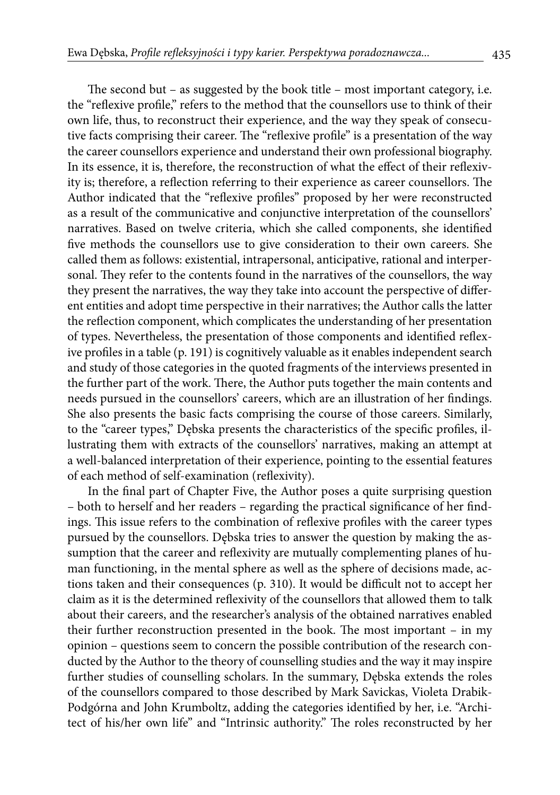The second but – as suggested by the book title – most important category, i.e. the "reflexive profile," refers to the method that the counsellors use to think of their own life, thus, to reconstruct their experience, and the way they speak of consecutive facts comprising their career. The "reflexive profile" is a presentation of the way the career counsellors experience and understand their own professional biography. In its essence, it is, therefore, the reconstruction of what the effect of their reflexivity is; therefore, a reflection referring to their experience as career counsellors. The Author indicated that the "reflexive profiles" proposed by her were reconstructed as a result of the communicative and conjunctive interpretation of the counsellors' narratives. Based on twelve criteria, which she called components, she identified five methods the counsellors use to give consideration to their own careers. She called them as follows: existential, intrapersonal, anticipative, rational and interpersonal. They refer to the contents found in the narratives of the counsellors, the way they present the narratives, the way they take into account the perspective of different entities and adopt time perspective in their narratives; the Author calls the latter the reflection component, which complicates the understanding of her presentation of types. Nevertheless, the presentation of those components and identified reflexive profiles in a table (p. 191) is cognitively valuable as it enables independent search and study of those categories in the quoted fragments of the interviews presented in the further part of the work. There, the Author puts together the main contents and needs pursued in the counsellors' careers, which are an illustration of her findings. She also presents the basic facts comprising the course of those careers. Similarly, to the "career types," Dębska presents the characteristics of the specific profiles, illustrating them with extracts of the counsellors' narratives, making an attempt at a well-balanced interpretation of their experience, pointing to the essential features of each method of self-examination (reflexivity).

In the final part of Chapter Five, the Author poses a quite surprising question – both to herself and her readers – regarding the practical significance of her findings. This issue refers to the combination of reflexive profiles with the career types pursued by the counsellors. Dębska tries to answer the question by making the assumption that the career and reflexivity are mutually complementing planes of human functioning, in the mental sphere as well as the sphere of decisions made, actions taken and their consequences (p. 310). It would be difficult not to accept her claim as it is the determined reflexivity of the counsellors that allowed them to talk about their careers, and the researcher's analysis of the obtained narratives enabled their further reconstruction presented in the book. The most important – in my opinion – questions seem to concern the possible contribution of the research conducted by the Author to the theory of counselling studies and the way it may inspire further studies of counselling scholars. In the summary, Dębska extends the roles of the counsellors compared to those described by Mark Savickas, Violeta Drabik-Podgórna and John Krumboltz, adding the categories identified by her, i.e. "Architect of his/her own life" and "Intrinsic authority." The roles reconstructed by her